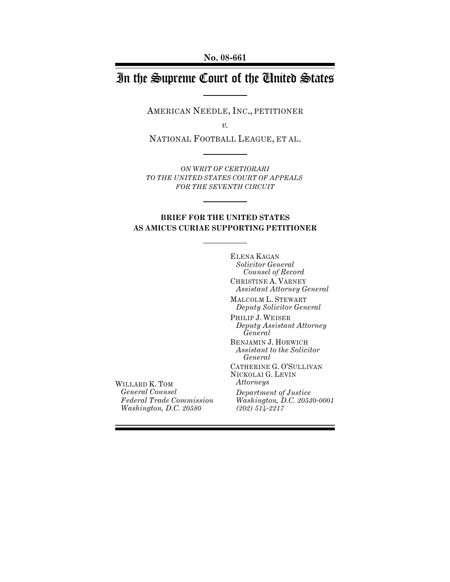# In the Supreme Court of the United States

AMERICAN NEEDLE, INC., PETITIONER

*v.*

NATIONAL FOOTBALL LEAGUE, ET AL.

*ON WRIT OF CERTIORARI TO THE UNITED STATES COURT OF APPEALS FOR THE SEVENTH CIRCUIT*

## **BRIEF FOR THE UNITED STATES AS AMICUS CURIAE SUPPORTING PETITIONER**

ELENA KAGAN *Solicitor General Counsel of Record* CHRISTINE A. VARNEY *Assistant Attorney General*

MALCOLM L. STEWART *Deputy Solicitor General*

PHILIP J. WEISER *Deputy Assistant Attorney General* BENJAMIN J. HORWICH *Assistant to the Solicitor General* CATHERINE G. O'SULLIVAN NICKOLAI G. LEVIN *Attorneys Department of Justice Washington, D.C. 20530-0001 (202) 514-2217*

WILLARD K. TOM *General Counsel Federal Trade Commission Washington, D.C. 20580*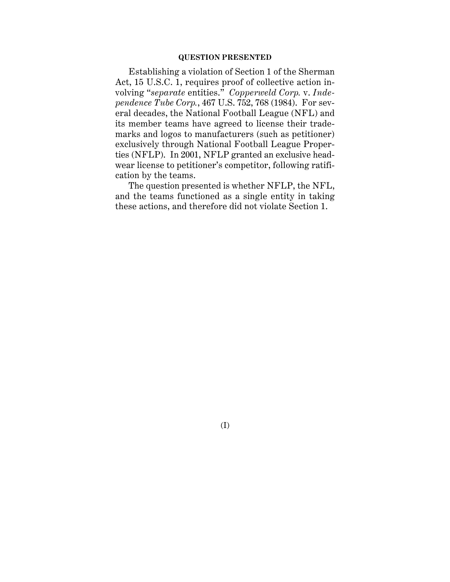## **QUESTION PRESENTED**

Establishing a violation of Section 1 of the Sherman Act, 15 U.S.C. 1, requires proof of collective action involving "*separate* entities." *Copperweld Corp.* v. *Independence Tube Corp.*, 467 U.S. 752, 768 (1984). For several decades, the National Football League (NFL) and its member teams have agreed to license their trademarks and logos to manufacturers (such as petitioner) exclusively through National Football League Properties (NFLP). In 2001, NFLP granted an exclusive headwear license to petitioner's competitor, following ratification by the teams.

The question presented is whether NFLP, the NFL, and the teams functioned as a single entity in taking these actions, and therefore did not violate Section 1.

(I)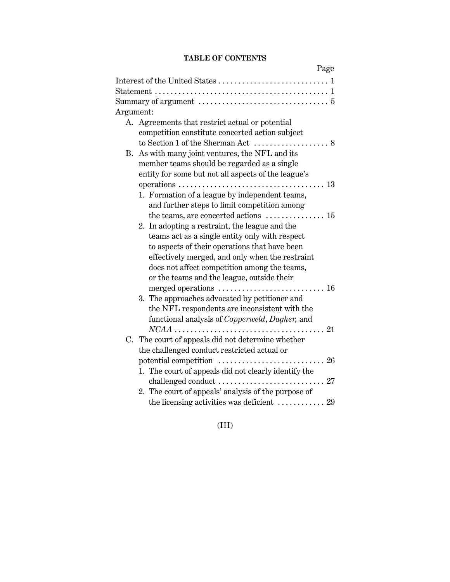# **TABLE OF CONTENTS**

|                                                                                                 | Page        |
|-------------------------------------------------------------------------------------------------|-------------|
|                                                                                                 |             |
|                                                                                                 |             |
| Summary of argument $\ldots \ldots \ldots \ldots \ldots \ldots \ldots \ldots \ldots 5$          |             |
| Argument:                                                                                       |             |
| A. Agreements that restrict actual or potential                                                 |             |
| competition constitute concerted action subject                                                 |             |
|                                                                                                 |             |
| B. As with many joint ventures, the NFL and its                                                 |             |
| member teams should be regarded as a single                                                     |             |
| entity for some but not all aspects of the league's                                             |             |
|                                                                                                 |             |
| 1. Formation of a league by independent teams,                                                  |             |
| and further steps to limit competition among                                                    |             |
| the teams, are concerted actions $\dots\dots\dots\dots\dots$ 15                                 |             |
| 2. In adopting a restraint, the league and the                                                  |             |
| teams act as a single entity only with respect                                                  |             |
| to aspects of their operations that have been                                                   |             |
| effectively merged, and only when the restraint                                                 |             |
| does not affect competition among the teams,                                                    |             |
| or the teams and the league, outside their                                                      |             |
|                                                                                                 |             |
| 3. The approaches advocated by petitioner and                                                   |             |
| the NFL respondents are inconsistent with the<br>functional analysis of Copperweld, Dagher, and |             |
|                                                                                                 |             |
| C. The court of appeals did not determine whether                                               |             |
| the challenged conduct restricted actual or                                                     |             |
| potential competition                                                                           | $\ldots$ 26 |
| 1. The court of appeals did not clearly identify the                                            |             |
|                                                                                                 |             |
| 2. The court of appeals' analysis of the purpose of                                             |             |
| the licensing activities was deficient $\ldots \ldots \ldots \ldots 29$                         |             |

(III)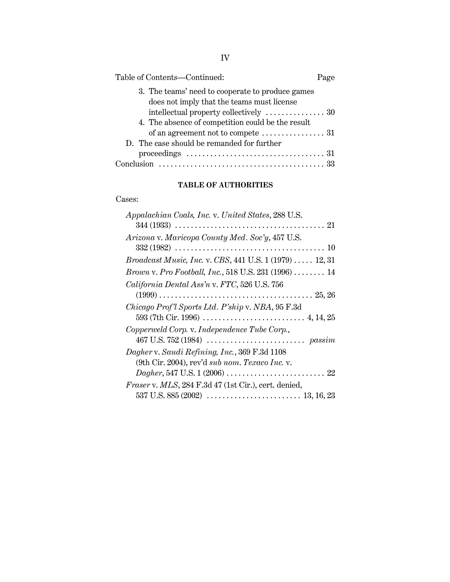| Table of Contents-Continued:                                                                            | Page |
|---------------------------------------------------------------------------------------------------------|------|
| 3. The teams' need to cooperate to produce games<br>does not imply that the teams must license          |      |
|                                                                                                         |      |
| 4. The absence of competition could be the result                                                       |      |
| of an agreement not to compete $\dots\dots\dots\dots\dots 31$                                           |      |
| D. The case should be remanded for further                                                              |      |
|                                                                                                         |      |
| Conclusion $\ldots \ldots \ldots \ldots \ldots \ldots \ldots \ldots \ldots \ldots \ldots \ldots \ldots$ |      |

# **TABLE OF AUTHORITIES**

## Cases:

| Appalachian Coals, Inc. v. United States, 288 U.S.                                                         |
|------------------------------------------------------------------------------------------------------------|
| $344 (1933) \ldots \ldots \ldots \ldots \ldots \ldots \ldots \ldots \ldots \ldots \ldots \ldots \ldots 21$ |
| Arizona v. Maricopa County Med. Soc'y, 457 U.S.                                                            |
|                                                                                                            |
| <i>Broadcast Music, Inc. v. CBS, 441 U.S. 1 (1979)  12, 31</i>                                             |
| Brown v. Pro Football, Inc., 518 U.S. 231 (1996)  14                                                       |
| California Dental Ass'n v. FTC, 526 U.S. 756                                                               |
|                                                                                                            |
| Chicago Prof'l Sports Ltd. P'ship v. NBA, 95 F.3d                                                          |
|                                                                                                            |
| Copperweld Corp. v. Independence Tube Corp.,                                                               |
|                                                                                                            |
| Dagher v. Saudi Refining, Inc., 369 F.3d 1108                                                              |
| (9th Cir. 2004), rev'd sub nom. Texaco Inc. v.                                                             |
|                                                                                                            |
| Fraser v. MLS, 284 F.3d 47 (1st Cir.), cert. denied,                                                       |
|                                                                                                            |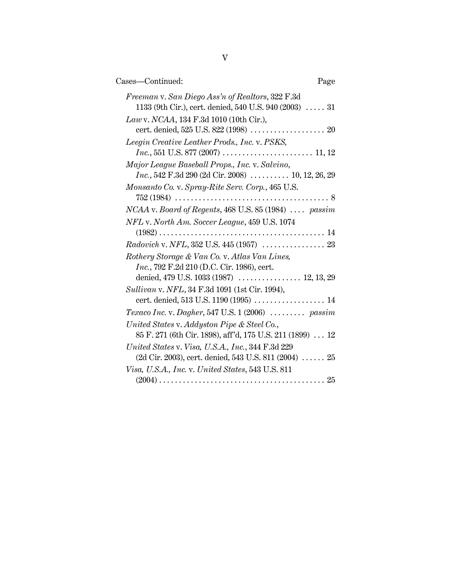| Cases—Continued:                                                                                                    | Page |
|---------------------------------------------------------------------------------------------------------------------|------|
| Freeman v. San Diego Ass'n of Realtors, 322 F.3d<br>1133 (9th Cir.), cert. denied, 540 U.S. 940 (2003) $\ldots$ 31  |      |
| Law v. NCAA, 134 F.3d 1010 (10th Cir.),                                                                             |      |
| Leegin Creative Leather Prods., Inc. v. PSKS,                                                                       |      |
| Major League Baseball Props., Inc. v. Salvino,<br><i>Inc.</i> , 542 F.3d 290 (2d Cir. 2008) $\ldots$ 10, 12, 26, 29 |      |
| Monsanto Co. v. Spray-Rite Serv. Corp., 465 U.S.                                                                    |      |
| NCAA v. Board of Regents, 468 U.S. 85 (1984)  passim                                                                |      |
| NFL v. North Am. Soccer League, 459 U.S. 1074                                                                       |      |
|                                                                                                                     |      |
| Rothery Storage & Van Co. v. Atlas Van Lines,                                                                       |      |
| <i>Inc.</i> , 792 F.2d 210 (D.C. Cir. 1986), cert.                                                                  |      |
| denied, 479 U.S. 1033 (1987)  12, 13, 29                                                                            |      |
| Sullivan v. NFL, 34 F.3d 1091 (1st Cir. 1994),                                                                      |      |
|                                                                                                                     |      |
| Texaco Inc. v. Dagher, 547 U.S. 1 (2006) $\ldots \ldots$ passim                                                     |      |
| United States v. Addyston Pipe & Steel Co.,<br>85 F. 271 (6th Cir. 1898), aff'd, 175 U.S. 211 (1899)  12            |      |
| United States v. Visa, U.S.A., Inc., 344 F.3d 229<br>$(2d$ Cir. 2003), cert. denied, 543 U.S. 811 $(2004)$ 25       |      |
| Visa, U.S.A., Inc. v. United States, 543 U.S. 811                                                                   |      |
|                                                                                                                     |      |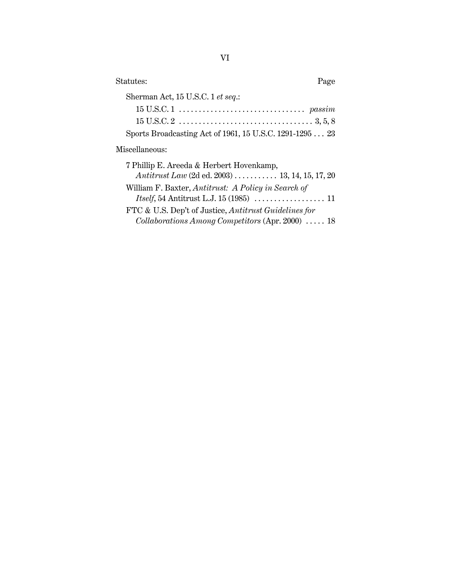| Statutes:<br>Page                                                     |
|-----------------------------------------------------------------------|
| Sherman Act, 15 U.S.C. 1 et seq.:                                     |
|                                                                       |
|                                                                       |
| Sports Broadcasting Act of 1961, 15 U.S.C. 1291-1295  23              |
| Miscellaneous:                                                        |
| 7 Phillip E. Areeda & Herbert Hovenkamp,                              |
| Antitrust Law (2d ed. 2003) $\ldots \ldots \ldots 13, 14, 15, 17, 20$ |
| William F. Baxter, Antitrust: A Policy in Search of                   |
|                                                                       |
| FTC & U.S. Dep't of Justice, Antitrust Guidelines for                 |

*Collaborations Among Competitors* (Apr. 2000) . . . . . 18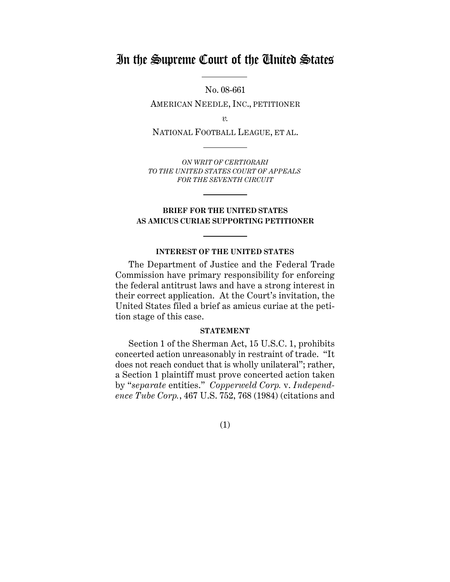# In the Supreme Court of the United States

No. 08-661 AMERICAN NEEDLE, INC., PETITIONER

*v.*

NATIONAL FOOTBALL LEAGUE, ET AL.

*ON WRIT OF CERTIORARI TO THE UNITED STATES COURT OF APPEALS FOR THE SEVENTH CIRCUIT*

# **BRIEF FOR THE UNITED STATES AS AMICUS CURIAE SUPPORTING PETITIONER**

## **INTEREST OF THE UNITED STATES**

The Department of Justice and the Federal Trade Commission have primary responsibility for enforcing the federal antitrust laws and have a strong interest in their correct application. At the Court's invitation, the United States filed a brief as amicus curiae at the petition stage of this case.

## **STATEMENT**

Section 1 of the Sherman Act, 15 U.S.C. 1, prohibits concerted action unreasonably in restraint of trade. "It does not reach conduct that is wholly unilateral"; rather, a Section 1 plaintiff must prove concerted action taken by "*separate* entities." *Copperweld Corp.* v. *Independence Tube Corp.*, 467 U.S. 752, 768 (1984) (citations and

(1)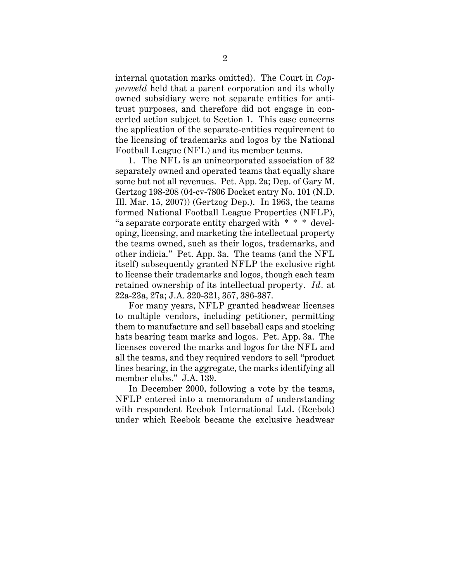internal quotation marks omitted). The Court in *Copperweld* held that a parent corporation and its wholly owned subsidiary were not separate entities for antitrust purposes, and therefore did not engage in concerted action subject to Section 1. This case concerns the application of the separate-entities requirement to the licensing of trademarks and logos by the National Football League (NFL) and its member teams.

1. The NFL is an unincorporated association of 32 separately owned and operated teams that equally share some but not all revenues. Pet. App. 2a; Dep. of Gary M. Gertzog 198-208 (04-cv-7806 Docket entry No. 101 (N.D. Ill. Mar. 15, 2007)) (Gertzog Dep.). In 1963, the teams formed National Football League Properties (NFLP), "a separate corporate entity charged with \* \* \* developing, licensing, and marketing the intellectual property the teams owned, such as their logos, trademarks, and other indicia." Pet. App. 3a. The teams (and the NFL itself) subsequently granted NFLP the exclusive right to license their trademarks and logos, though each team retained ownership of its intellectual property. *Id.* at 22a-23a, 27a; J.A. 320-321, 357, 386-387.

For many years, NFLP granted headwear licenses to multiple vendors, including petitioner, permitting them to manufacture and sell baseball caps and stocking hats bearing team marks and logos. Pet. App. 3a. The licenses covered the marks and logos for the NFL and all the teams, and they required vendors to sell "product lines bearing, in the aggregate, the marks identifying all member clubs." J.A. 139.

In December 2000, following a vote by the teams, NFLP entered into a memorandum of understanding with respondent Reebok International Ltd. (Reebok) under which Reebok became the exclusive headwear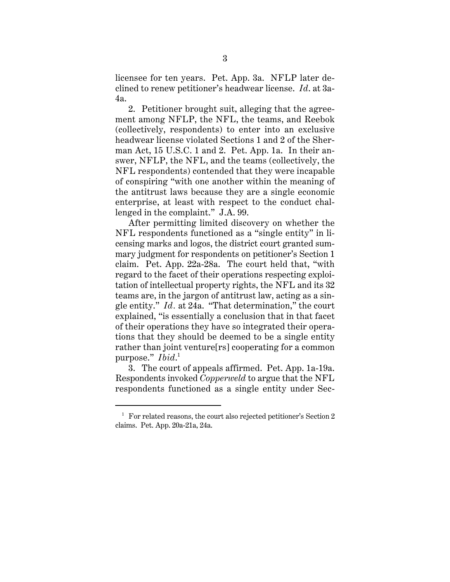licensee for ten years. Pet. App. 3a. NFLP later declined to renew petitioner's headwear license. *Id*. at 3a-4a.

2. Petitioner brought suit, alleging that the agreement among NFLP, the NFL, the teams, and Reebok (collectively, respondents) to enter into an exclusive headwear license violated Sections 1 and 2 of the Sherman Act, 15 U.S.C. 1 and 2. Pet. App. 1a. In their answer, NFLP, the NFL, and the teams (collectively, the NFL respondents) contended that they were incapable of conspiring "with one another within the meaning of the antitrust laws because they are a single economic enterprise, at least with respect to the conduct challenged in the complaint." J.A. 99.

After permitting limited discovery on whether the NFL respondents functioned as a "single entity" in licensing marks and logos, the district court granted summary judgment for respondents on petitioner's Section 1 claim. Pet. App. 22a-28a. The court held that, "with regard to the facet of their operations respecting exploitation of intellectual property rights, the NFL and its 32 teams are, in the jargon of antitrust law, acting as a single entity." *Id.* at 24a. "That determination," the court explained, "is essentially a conclusion that in that facet of their operations they have so integrated their operations that they should be deemed to be a single entity rather than joint venture[rs] cooperating for a common purpose." *Ibid*. 1

3. The court of appeals affirmed. Pet. App. 1a-19a. Respondents invoked *Copperweld* to argue that the NFL respondents functioned as a single entity under Sec-

 $1$  For related reasons, the court also rejected petitioner's Section 2 claims. Pet. App. 20a-21a, 24a.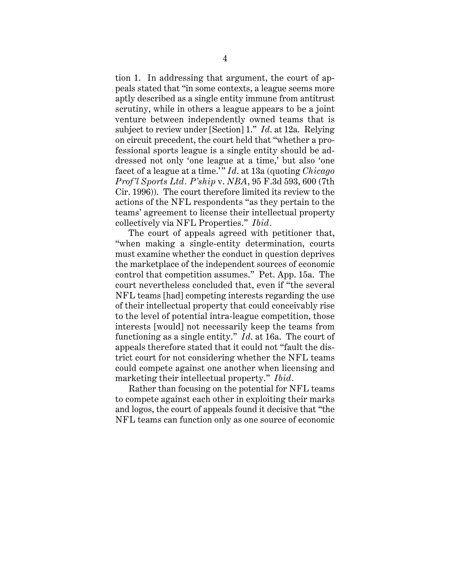tion 1. In addressing that argument, the court of appeals stated that "in some contexts, a league seems more aptly described as a single entity immune from antitrust scrutiny, while in others a league appears to be a joint venture between independently owned teams that is subject to review under [Section] 1." *Id*. at 12a. Relying on circuit precedent, the court held that "whether a professional sports league is a single entity should be addressed not only 'one league at a time,' but also 'one facet of a league at a time.'" *Id*. at 13a (quoting *Chicago Prof'l Sports Ltd. P'ship* v. *NBA*, 95 F.3d 593, 600 (7th Cir. 1996)). The court therefore limited its review to the actions of the NFL respondents "as they pertain to the teams' agreement to license their intellectual property collectively via NFL Properties." *Ibid.*

The court of appeals agreed with petitioner that, "when making a single-entity determination, courts must examine whether the conduct in question deprives the marketplace of the independent sources of economic control that competition assumes." Pet. App. 15a. The court nevertheless concluded that, even if "the several NFL teams [had] competing interests regarding the use of their intellectual property that could conceivably rise to the level of potential intra-league competition, those interests [would] not necessarily keep the teams from functioning as a single entity." *Id*. at 16a. The court of appeals therefore stated that it could not "fault the district court for not considering whether the NFL teams could compete against one another when licensing and marketing their intellectual property." *Ibid.*

Rather than focusing on the potential for NFL teams to compete against each other in exploiting their marks and logos, the court of appeals found it decisive that "the NFL teams can function only as one source of economic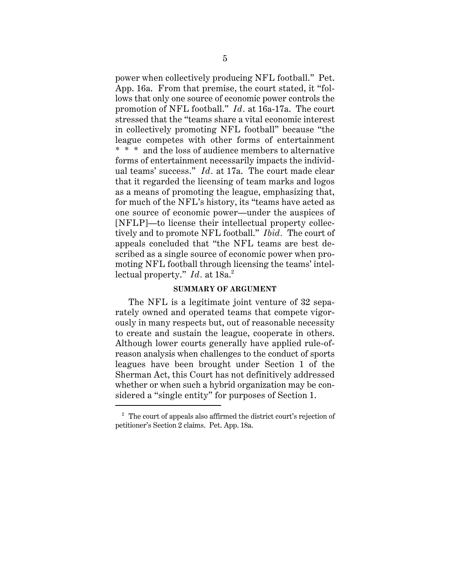power when collectively producing NFL football." Pet. App. 16a. From that premise, the court stated, it "follows that only one source of economic power controls the promotion of NFL football." *Id.* at 16a-17a. The court stressed that the "teams share a vital economic interest in collectively promoting NFL football" because "the league competes with other forms of entertainment \* \* \* and the loss of audience members to alternative forms of entertainment necessarily impacts the individual teams' success." *Id.* at 17a. The court made clear that it regarded the licensing of team marks and logos as a means of promoting the league, emphasizing that, for much of the NFL's history, its "teams have acted as one source of economic power—under the auspices of [NFLP]—to license their intellectual property collectively and to promote NFL football." *Ibid.* The court of appeals concluded that "the NFL teams are best described as a single source of economic power when promoting NFL football through licensing the teams' intellectual property." *Id.* at 18a.<sup>2</sup>

# **SUMMARY OF ARGUMENT**

The NFL is a legitimate joint venture of 32 separately owned and operated teams that compete vigorously in many respects but, out of reasonable necessity to create and sustain the league, cooperate in others. Although lower courts generally have applied rule-ofreason analysis when challenges to the conduct of sports leagues have been brought under Section 1 of the Sherman Act, this Court has not definitively addressed whether or when such a hybrid organization may be considered a "single entity" for purposes of Section 1.

 $2\degree$  The court of appeals also affirmed the district court's rejection of petitioner's Section 2 claims. Pet. App. 18a.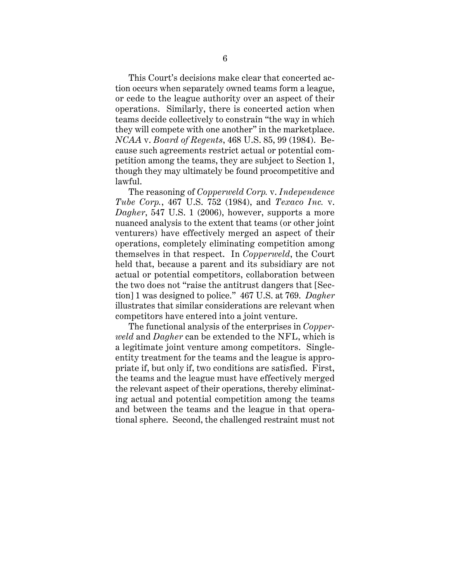This Court's decisions make clear that concerted action occurs when separately owned teams form a league, or cede to the league authority over an aspect of their operations. Similarly, there is concerted action when teams decide collectively to constrain "the way in which they will compete with one another" in the marketplace. *NCAA* v. *Board of Regents*, 468 U.S. 85, 99 (1984). Because such agreements restrict actual or potential competition among the teams, they are subject to Section 1, though they may ultimately be found procompetitive and lawful.

The reasoning of *Copperweld Corp.* v. *Independence Tube Corp.*, 467 U.S. 752 (1984), and *Texaco Inc.* v. *Dagher*, 547 U.S. 1 (2006), however, supports a more nuanced analysis to the extent that teams (or other joint venturers) have effectively merged an aspect of their operations, completely eliminating competition among themselves in that respect. In *Copperweld*, the Court held that, because a parent and its subsidiary are not actual or potential competitors, collaboration between the two does not "raise the antitrust dangers that [Section] 1 was designed to police." 467 U.S. at 769. *Dagher* illustrates that similar considerations are relevant when competitors have entered into a joint venture.

The functional analysis of the enterprises in *Copperweld* and *Dagher* can be extended to the NFL, which is a legitimate joint venture among competitors. Singleentity treatment for the teams and the league is appropriate if, but only if, two conditions are satisfied. First, the teams and the league must have effectively merged the relevant aspect of their operations, thereby eliminating actual and potential competition among the teams and between the teams and the league in that operational sphere. Second, the challenged restraint must not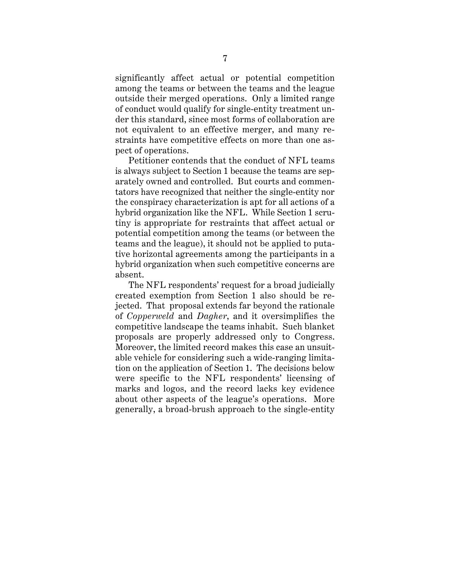significantly affect actual or potential competition among the teams or between the teams and the league outside their merged operations. Only a limited range of conduct would qualify for single-entity treatment under this standard, since most forms of collaboration are not equivalent to an effective merger, and many restraints have competitive effects on more than one aspect of operations.

Petitioner contends that the conduct of NFL teams is always subject to Section 1 because the teams are separately owned and controlled. But courts and commentators have recognized that neither the single-entity nor the conspiracy characterization is apt for all actions of a hybrid organization like the NFL. While Section 1 scrutiny is appropriate for restraints that affect actual or potential competition among the teams (or between the teams and the league), it should not be applied to putative horizontal agreements among the participants in a hybrid organization when such competitive concerns are absent.

The NFL respondents' request for a broad judicially created exemption from Section 1 also should be rejected. That proposal extends far beyond the rationale of *Copperweld* and *Dagher*, and it oversimplifies the competitive landscape the teams inhabit. Such blanket proposals are properly addressed only to Congress. Moreover, the limited record makes this case an unsuitable vehicle for considering such a wide-ranging limitation on the application of Section 1. The decisions below were specific to the NFL respondents' licensing of marks and logos, and the record lacks key evidence about other aspects of the league's operations. More generally, a broad-brush approach to the single-entity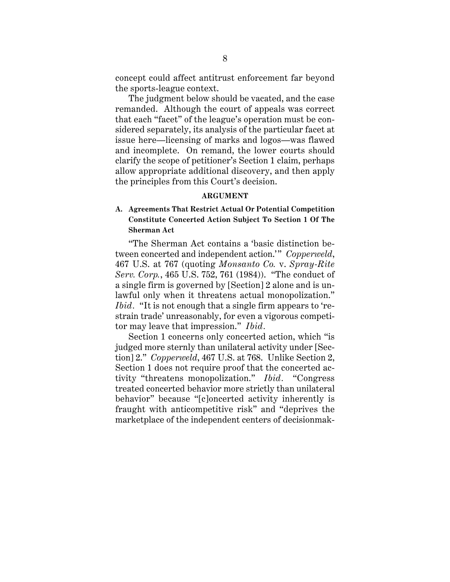concept could affect antitrust enforcement far beyond the sports-league context.

The judgment below should be vacated, and the case remanded. Although the court of appeals was correct that each "facet" of the league's operation must be considered separately, its analysis of the particular facet at issue here—licensing of marks and logos—was flawed and incomplete. On remand, the lower courts should clarify the scope of petitioner's Section 1 claim, perhaps allow appropriate additional discovery, and then apply the principles from this Court's decision.

#### **ARGUMENT**

# **A. Agreements That Restrict Actual Or Potential Competition Constitute Concerted Action Subject To Section 1 Of The Sherman Act**

"The Sherman Act contains a 'basic distinction between concerted and independent action.'" *Copperweld*, 467 U.S. at 767 (quoting *Monsanto Co.* v. *Spray-Rite Serv. Corp.*, 465 U.S. 752, 761 (1984)). "The conduct of a single firm is governed by [Section] 2 alone and is unlawful only when it threatens actual monopolization." *Ibid.* "It is not enough that a single firm appears to 'restrain trade' unreasonably, for even a vigorous competitor may leave that impression." *Ibid.*

Section 1 concerns only concerted action, which "is judged more sternly than unilateral activity under [Section] 2." *Copperweld*, 467 U.S. at 768. Unlike Section 2, Section 1 does not require proof that the concerted activity "threatens monopolization." *Ibid.* "Congress treated concerted behavior more strictly than unilateral behavior" because "[c]oncerted activity inherently is fraught with anticompetitive risk" and "deprives the marketplace of the independent centers of decisionmak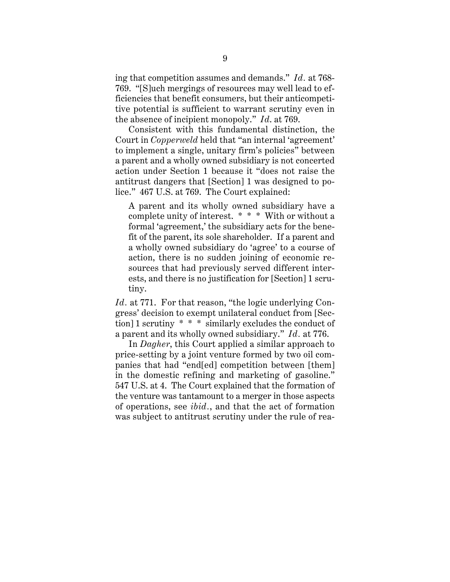ing that competition assumes and demands." *Id.* at 768- 769. "[S]uch mergings of resources may well lead to efficiencies that benefit consumers, but their anticompetitive potential is sufficient to warrant scrutiny even in the absence of incipient monopoly." *Id*. at 769.

Consistent with this fundamental distinction, the Court in *Copperweld* held that "an internal 'agreement' to implement a single, unitary firm's policies" between a parent and a wholly owned subsidiary is not concerted action under Section 1 because it "does not raise the antitrust dangers that [Section] 1 was designed to police." 467 U.S. at 769. The Court explained:

A parent and its wholly owned subsidiary have a complete unity of interest. \* \* \* With or without a formal 'agreement,' the subsidiary acts for the benefit of the parent, its sole shareholder. If a parent and a wholly owned subsidiary do 'agree' to a course of action, there is no sudden joining of economic resources that had previously served different interests, and there is no justification for [Section] 1 scrutiny.

*Id.* at 771. For that reason, "the logic underlying Congress' decision to exempt unilateral conduct from [Section] 1 scrutiny \* \* \* similarly excludes the conduct of a parent and its wholly owned subsidiary." *Id.* at 776.

In *Dagher*, this Court applied a similar approach to price-setting by a joint venture formed by two oil companies that had "end[ed] competition between [them] in the domestic refining and marketing of gasoline." 547 U.S. at 4. The Court explained that the formation of the venture was tantamount to a merger in those aspects of operations, see *ibid.*, and that the act of formation was subject to antitrust scrutiny under the rule of rea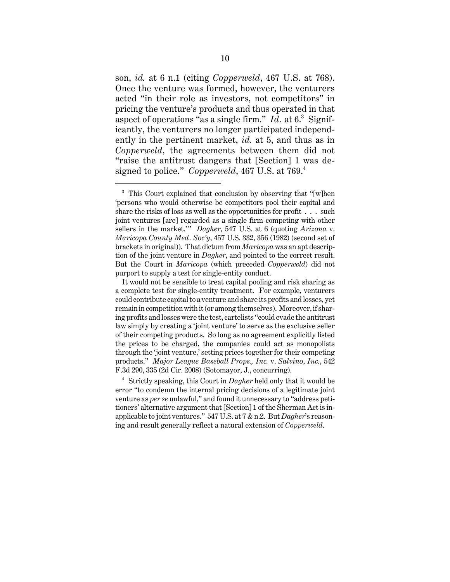son, *id.* at 6 n.1 (citing *Copperweld*, 467 U.S. at 768). Once the venture was formed, however, the venturers acted "in their role as investors, not competitors" in pricing the venture's products and thus operated in that aspect of operations "as a single firm." *Id.* at 6.<sup>3</sup> Significantly, the venturers no longer participated independently in the pertinent market, *id.* at 5, and thus as in *Copperweld*, the agreements between them did not "raise the antitrust dangers that [Section] 1 was designed to police." *Copperweld*, 467 U.S. at 769.<sup>4</sup>

<sup>&</sup>lt;sup>3</sup> This Court explained that conclusion by observing that "[w]hen 'persons who would otherwise be competitors pool their capital and share the risks of loss as well as the opportunities for profit . . . such joint ventures [are] regarded as a single firm competing with other sellers in the market.'<sup>"</sup> Dagher, 547 U.S. at 6 (quoting *Arizona* v. *Maricopa County Med. Soc'y*, 457 U.S. 332, 356 (1982) (second set of brackets in original)). That dictum from *Maricopa* was an apt description of the joint venture in *Dagher*, and pointed to the correct result. But the Court in *Maricopa* (which preceded *Copperweld*) did not purport to supply a test for single-entity conduct.

It would not be sensible to treat capital pooling and risk sharing as a complete test for single-entity treatment. For example, venturers could contribute capital to a venture and share its profits and losses, yet remain in competition with it (or among themselves). Moreover, if sharing profits and losses were the test, cartelists "could evade the antitrust law simply by creating a 'joint venture' to serve as the exclusive seller of their competing products. So long as no agreement explicitly listed the prices to be charged, the companies could act as monopolists through the 'joint venture,' setting prices together for their competing products." *Major League Baseball Props., Inc.* v. *Salvino*, *Inc.*, 542 F.3d 290, 335 (2d Cir. 2008) (Sotomayor, J., concurring).

<sup>4</sup> Strictly speaking, this Court in *Dagher* held only that it would be error "to condemn the internal pricing decisions of a legitimate joint venture as *per se* unlawful," and found it unnecessary to "address petitioners' alternative argument that [Section] 1 of the Sherman Act is inapplicable to joint ventures." 547 U.S. at 7 & n.2. But *Dagher*'s reasoning and result generally reflect a natural extension of *Copperweld*.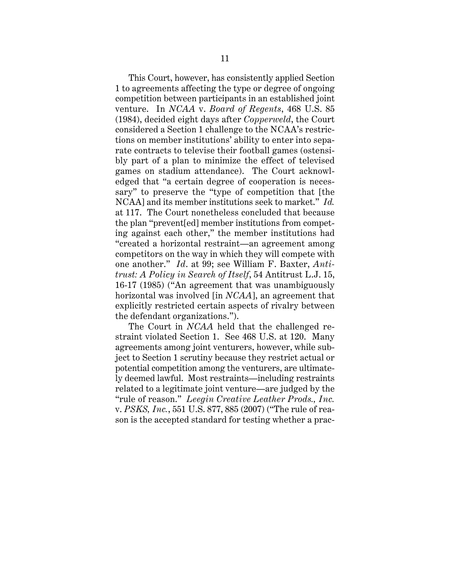This Court, however, has consistently applied Section 1 to agreements affecting the type or degree of ongoing competition between participants in an established joint venture. In *NCAA* v. *Board of Regents*, 468 U.S. 85 (1984), decided eight days after *Copperweld*, the Court considered a Section 1 challenge to the NCAA's restrictions on member institutions' ability to enter into separate contracts to televise their football games (ostensibly part of a plan to minimize the effect of televised games on stadium attendance). The Court acknowledged that "a certain degree of cooperation is necessary" to preserve the "type of competition that [the NCAA] and its member institutions seek to market." *Id.* at 117. The Court nonetheless concluded that because the plan "prevent[ed] member institutions from competing against each other," the member institutions had "created a horizontal restraint—an agreement among competitors on the way in which they will compete with one another." *Id*. at 99; see William F. Baxter, *Antitrust: A Policy in Search of Itself*, 54 Antitrust L.J. 15, 16-17 (1985) ("An agreement that was unambiguously horizontal was involved [in *NCAA*], an agreement that explicitly restricted certain aspects of rivalry between the defendant organizations.").

The Court in *NCAA* held that the challenged restraint violated Section 1. See 468 U.S. at 120. Many agreements among joint venturers, however, while subject to Section 1 scrutiny because they restrict actual or potential competition among the venturers, are ultimately deemed lawful. Most restraints—including restraints related to a legitimate joint venture—are judged by the "rule of reason." *Leegin Creative Leather Prods., Inc.* v. *PSKS, Inc.*, 551 U.S. 877, 885 (2007) ("The rule of reason is the accepted standard for testing whether a prac-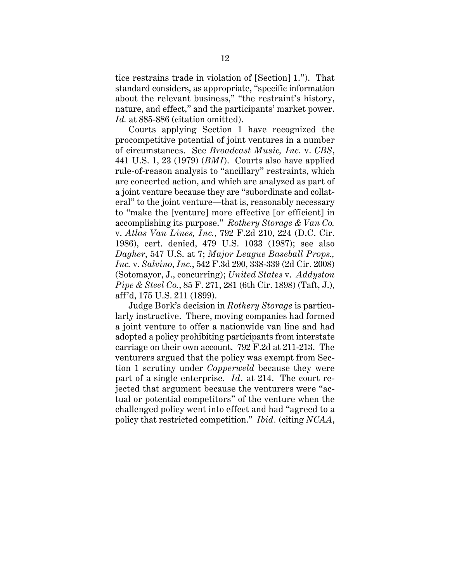tice restrains trade in violation of [Section] 1."). That standard considers, as appropriate, "specific information about the relevant business," "the restraint's history, nature, and effect," and the participants' market power. *Id.* at 885-886 (citation omitted).

Courts applying Section 1 have recognized the procompetitive potential of joint ventures in a number of circumstances. See *Broadcast Music, Inc.* v. *CBS*, 441 U.S. 1, 23 (1979) (*BMI*). Courts also have applied rule-of-reason analysis to "ancillary" restraints, which are concerted action, and which are analyzed as part of a joint venture because they are "subordinate and collateral" to the joint venture—that is, reasonably necessary to "make the [venture] more effective [or efficient] in accomplishing its purpose." *Rothery Storage & Van Co.* v. *Atlas Van Lines, Inc.*, 792 F.2d 210, 224 (D.C. Cir. 1986), cert. denied, 479 U.S. 1033 (1987); see also *Dagher*, 547 U.S. at 7; *Major League Baseball Props., Inc.* v. *Salvino*, *Inc.*, 542 F.3d 290, 338-339 (2d Cir. 2008) (Sotomayor, J., concurring); *United States* v. *Addyston Pipe & Steel Co.*, 85 F. 271, 281 (6th Cir. 1898) (Taft, J.), aff'd, 175 U.S. 211 (1899).

Judge Bork's decision in *Rothery Storage* is particularly instructive. There, moving companies had formed a joint venture to offer a nationwide van line and had adopted a policy prohibiting participants from interstate carriage on their own account. 792 F.2d at 211-213. The venturers argued that the policy was exempt from Section 1 scrutiny under *Copperweld* because they were part of a single enterprise. *Id.* at 214. The court rejected that argument because the venturers were "actual or potential competitors" of the venture when the challenged policy went into effect and had "agreed to a policy that restricted competition." *Ibid.* (citing *NCAA*,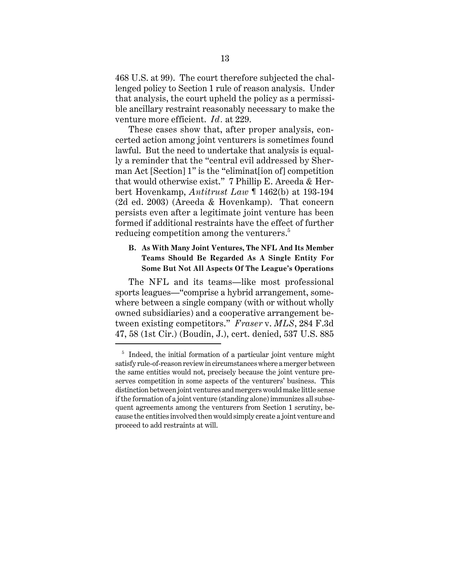468 U.S. at 99). The court therefore subjected the challenged policy to Section 1 rule of reason analysis. Under that analysis, the court upheld the policy as a permissible ancillary restraint reasonably necessary to make the venture more efficient. *Id.* at 229.

These cases show that, after proper analysis, concerted action among joint venturers is sometimes found lawful. But the need to undertake that analysis is equally a reminder that the "central evil addressed by Sherman Act [Section] 1" is the "eliminat[ion of] competition that would otherwise exist." 7 Phillip E. Areeda & Herbert Hovenkamp, *Antitrust Law* ¶ 1462(b) at 193-194 (2d ed. 2003) (Areeda & Hovenkamp). That concern persists even after a legitimate joint venture has been formed if additional restraints have the effect of further reducing competition among the venturers.<sup>5</sup>

# **B. As With Many Joint Ventures, The NFL And Its Member Teams Should Be Regarded As A Single Entity For Some But Not All Aspects Of The League's Operations**

The NFL and its teams—like most professional sports leagues—"comprise a hybrid arrangement, somewhere between a single company (with or without wholly owned subsidiaries) and a cooperative arrangement between existing competitors." *Fraser* v. *MLS*, 284 F.3d 47, 58 (1st Cir.) (Boudin, J.), cert. denied, 537 U.S. 885

 $5$  Indeed, the initial formation of a particular joint venture might satisfy rule-of-reason review in circumstances where a merger between the same entities would not, precisely because the joint venture preserves competition in some aspects of the venturers' business. This distinction between joint ventures and mergers would make little sense if the formation of a joint venture (standing alone) immunizes all subsequent agreements among the venturers from Section 1 scrutiny, because the entities involved then would simply create a joint venture and proceed to add restraints at will.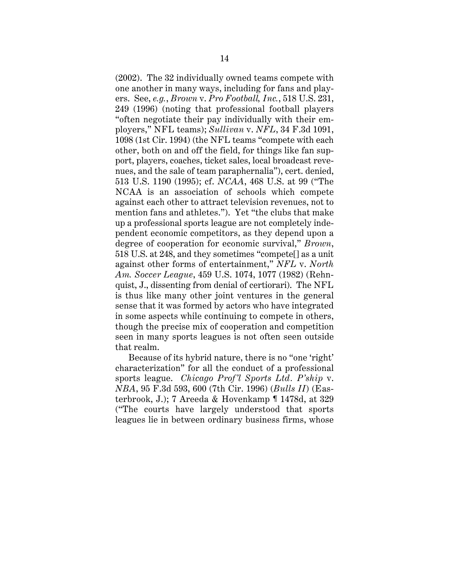(2002). The 32 individually owned teams compete with one another in many ways, including for fans and players. See, *e.g.*, *Brown* v. *Pro Football, Inc.*, 518 U.S. 231, 249 (1996) (noting that professional football players "often negotiate their pay individually with their employers," NFL teams); *Sullivan* v. *NFL*, 34 F.3d 1091, 1098 (1st Cir. 1994) (the NFL teams "compete with each other, both on and off the field, for things like fan support, players, coaches, ticket sales, local broadcast revenues, and the sale of team paraphernalia"), cert. denied, 513 U.S. 1190 (1995); cf. *NCAA*, 468 U.S. at 99 ("The NCAA is an association of schools which compete against each other to attract television revenues, not to mention fans and athletes."). Yet "the clubs that make up a professional sports league are not completely independent economic competitors, as they depend upon a degree of cooperation for economic survival," *Brown*, 518 U.S. at 248, and they sometimes "compete[] as a unit against other forms of entertainment," *NFL* v. *North Am. Soccer League*, 459 U.S. 1074, 1077 (1982) (Rehnquist, J., dissenting from denial of certiorari). The NFL is thus like many other joint ventures in the general sense that it was formed by actors who have integrated in some aspects while continuing to compete in others, though the precise mix of cooperation and competition seen in many sports leagues is not often seen outside that realm.

Because of its hybrid nature, there is no "one 'right' characterization" for all the conduct of a professional sports league. *Chicago Prof'l Sports Ltd. P'ship* v. *NBA*, 95 F.3d 593, 600 (7th Cir. 1996) (*Bulls II*) (Easterbrook, J.); 7 Areeda & Hovenkamp ¶ 1478d, at 329 ("The courts have largely understood that sports leagues lie in between ordinary business firms, whose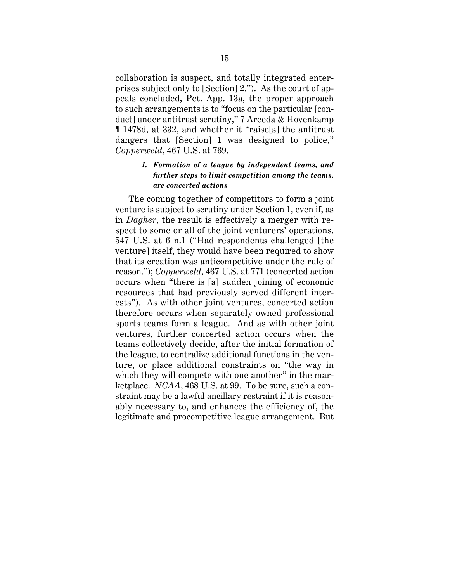collaboration is suspect, and totally integrated enterprises subject only to [Section] 2."). As the court of appeals concluded, Pet. App. 13a, the proper approach to such arrangements is to "focus on the particular [conduct] under antitrust scrutiny," 7 Areeda & Hovenkamp ¶ 1478d, at 332, and whether it "raise[s] the antitrust dangers that [Section] 1 was designed to police," *Copperweld*, 467 U.S. at 769.

# *1. Formation of a league by independent teams, and further steps to limit competition among the teams, are concerted actions*

The coming together of competitors to form a joint venture is subject to scrutiny under Section 1, even if, as in *Dagher*, the result is effectively a merger with respect to some or all of the joint venturers' operations. 547 U.S. at 6 n.1 ("Had respondents challenged [the venture] itself, they would have been required to show that its creation was anticompetitive under the rule of reason."); *Copperweld*, 467 U.S. at 771 (concerted action occurs when "there is [a] sudden joining of economic resources that had previously served different interests"). As with other joint ventures, concerted action therefore occurs when separately owned professional sports teams form a league. And as with other joint ventures, further concerted action occurs when the teams collectively decide, after the initial formation of the league, to centralize additional functions in the venture, or place additional constraints on "the way in which they will compete with one another" in the marketplace. *NCAA*, 468 U.S. at 99. To be sure, such a constraint may be a lawful ancillary restraint if it is reasonably necessary to, and enhances the efficiency of, the legitimate and procompetitive league arrangement. But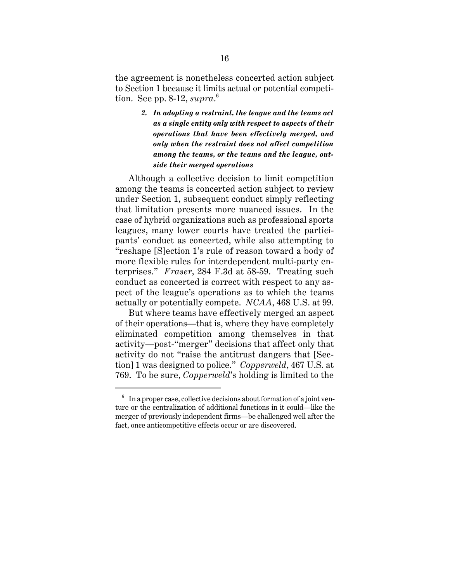the agreement is nonetheless concerted action subject to Section 1 because it limits actual or potential competition. See pp. 8-12, *supra*. 6

> *2. In adopting a restraint, the league and the teams act as a single entity only with respect to aspects of their operations that have been effectively merged, and only when the restraint does not affect competition among the teams, or the teams and the league, outside their merged operations*

Although a collective decision to limit competition among the teams is concerted action subject to review under Section 1, subsequent conduct simply reflecting that limitation presents more nuanced issues. In the case of hybrid organizations such as professional sports leagues, many lower courts have treated the participants' conduct as concerted, while also attempting to "reshape [S]ection 1's rule of reason toward a body of more flexible rules for interdependent multi-party enterprises." *Fraser*, 284 F.3d at 58-59. Treating such conduct as concerted is correct with respect to any aspect of the league's operations as to which the teams actually or potentially compete. *NCAA*, 468 U.S. at 99.

But where teams have effectively merged an aspect of their operations—that is, where they have completely eliminated competition among themselves in that activity—post-"merger" decisions that affect only that activity do not "raise the antitrust dangers that [Section] 1 was designed to police." *Copperweld*, 467 U.S. at 769. To be sure, *Copperweld*'s holding is limited to the

 $6\;\;$  In a proper case, collective decisions about formation of a joint venture or the centralization of additional functions in it could—like the merger of previously independent firms—be challenged well after the fact, once anticompetitive effects occur or are discovered.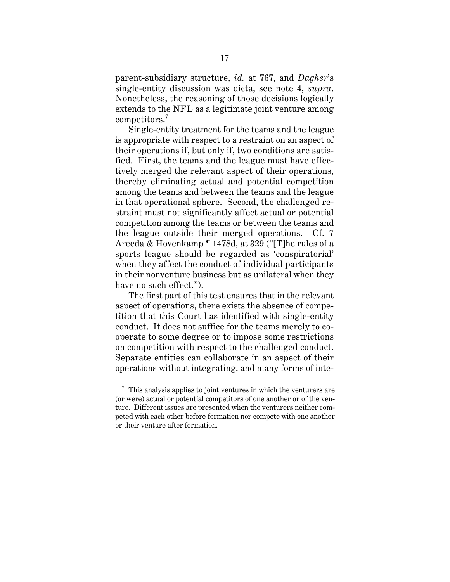parent-subsidiary structure, *id.* at 767, and *Dagher*'s single-entity discussion was dicta, see note 4, *supra*. Nonetheless, the reasoning of those decisions logically extends to the NFL as a legitimate joint venture among competitors.<sup>7</sup>

Single-entity treatment for the teams and the league is appropriate with respect to a restraint on an aspect of their operations if, but only if, two conditions are satisfied. First, the teams and the league must have effectively merged the relevant aspect of their operations, thereby eliminating actual and potential competition among the teams and between the teams and the league in that operational sphere. Second, the challenged restraint must not significantly affect actual or potential competition among the teams or between the teams and the league outside their merged operations. Cf. 7 Areeda & Hovenkamp ¶ 1478d, at 329 ("[T]he rules of a sports league should be regarded as 'conspiratorial' when they affect the conduct of individual participants in their nonventure business but as unilateral when they have no such effect.").

The first part of this test ensures that in the relevant aspect of operations, there exists the absence of competition that this Court has identified with single-entity conduct. It does not suffice for the teams merely to cooperate to some degree or to impose some restrictions on competition with respect to the challenged conduct. Separate entities can collaborate in an aspect of their operations without integrating, and many forms of inte-

 $\frac{7}{1}$ . This analysis applies to joint ventures in which the venturers are (or were) actual or potential competitors of one another or of the venture. Different issues are presented when the venturers neither competed with each other before formation nor compete with one another or their venture after formation.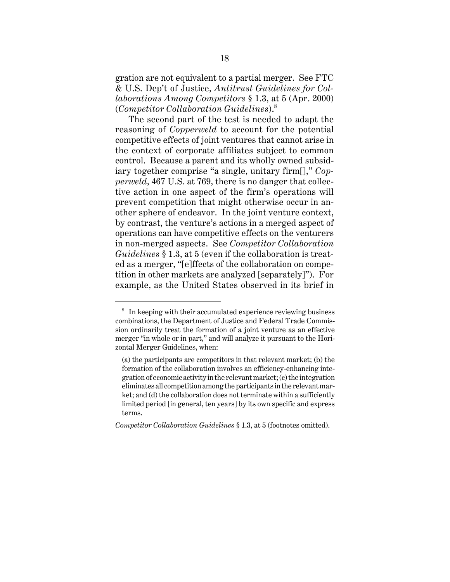gration are not equivalent to a partial merger. See FTC & U.S. Dep't of Justice, *Antitrust Guidelines for Collaborations Among Competitors* § 1.3, at 5 (Apr. 2000) (*Competitor Collaboration Guidelines*).<sup>8</sup>

The second part of the test is needed to adapt the reasoning of *Copperweld* to account for the potential competitive effects of joint ventures that cannot arise in the context of corporate affiliates subject to common control. Because a parent and its wholly owned subsidiary together comprise "a single, unitary firm[]," *Copperweld*, 467 U.S. at 769, there is no danger that collective action in one aspect of the firm's operations will prevent competition that might otherwise occur in another sphere of endeavor. In the joint venture context, by contrast, the venture's actions in a merged aspect of operations can have competitive effects on the venturers in non-merged aspects. See *Competitor Collaboration Guidelines* § 1.3, at 5 (even if the collaboration is treated as a merger, "[e]ffects of the collaboration on competition in other markets are analyzed [separately]"). For example, as the United States observed in its brief in

<sup>8</sup> In keeping with their accumulated experience reviewing business combinations, the Department of Justice and Federal Trade Commission ordinarily treat the formation of a joint venture as an effective merger "in whole or in part," and will analyze it pursuant to the Horizontal Merger Guidelines, when:

<sup>(</sup>a) the participants are competitors in that relevant market; (b) the formation of the collaboration involves an efficiency-enhancing integration of economic activity in the relevant market; (c) the integration eliminates all competition among the participants in the relevant market; and (d) the collaboration does not terminate within a sufficiently limited period [in general, ten years] by its own specific and express terms.

*Competitor Collaboration Guidelines* § 1.3, at 5 (footnotes omitted).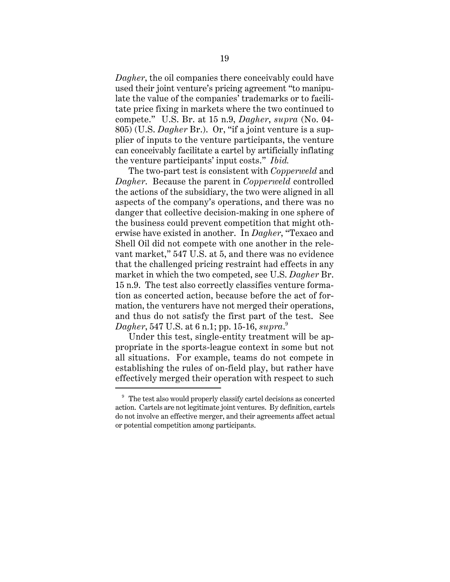*Dagher*, the oil companies there conceivably could have used their joint venture's pricing agreement "to manipulate the value of the companies' trademarks or to facilitate price fixing in markets where the two continued to compete." U.S. Br. at 15 n.9, *Dagher*, *supra* (No. 04- 805) (U.S. *Dagher* Br.). Or, "if a joint venture is a supplier of inputs to the venture participants, the venture can conceivably facilitate a cartel by artificially inflating the venture participants' input costs." *Ibid.*

The two-part test is consistent with *Copperweld* and *Dagher*. Because the parent in *Copperweld* controlled the actions of the subsidiary, the two were aligned in all aspects of the company's operations, and there was no danger that collective decision-making in one sphere of the business could prevent competition that might otherwise have existed in another. In *Dagher*, "Texaco and Shell Oil did not compete with one another in the relevant market," 547 U.S. at 5, and there was no evidence that the challenged pricing restraint had effects in any market in which the two competed, see U.S. *Dagher* Br. 15 n.9. The test also correctly classifies venture formation as concerted action, because before the act of formation, the venturers have not merged their operations, and thus do not satisfy the first part of the test. See *Dagher*, 547 U.S. at 6 n.1; pp. 15-16, *supra*. 9

Under this test, single-entity treatment will be appropriate in the sports-league context in some but not all situations. For example, teams do not compete in establishing the rules of on-field play, but rather have effectively merged their operation with respect to such

 $9<sup>9</sup>$  The test also would properly classify cartel decisions as concerted action. Cartels are not legitimate joint ventures. By definition, cartels do not involve an effective merger, and their agreements affect actual or potential competition among participants.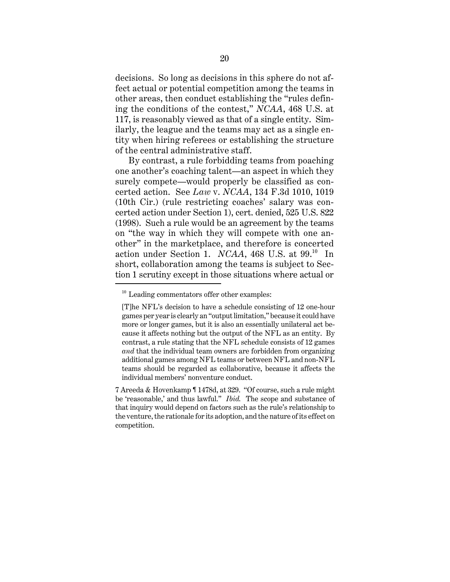decisions. So long as decisions in this sphere do not affect actual or potential competition among the teams in other areas, then conduct establishing the "rules defining the conditions of the contest," *NCAA*, 468 U.S. at 117, is reasonably viewed as that of a single entity. Similarly, the league and the teams may act as a single entity when hiring referees or establishing the structure of the central administrative staff.

By contrast, a rule forbidding teams from poaching one another's coaching talent—an aspect in which they surely compete—would properly be classified as concerted action. See *Law* v. *NCAA*, 134 F.3d 1010, 1019 (10th Cir.) (rule restricting coaches' salary was concerted action under Section 1), cert. denied, 525 U.S. 822 (1998). Such a rule would be an agreement by the teams on "the way in which they will compete with one another" in the marketplace, and therefore is concerted action under Section 1. *NCAA*, 468 U.S. at 99.10 In short, collaboration among the teams is subject to Section 1 scrutiny except in those situations where actual or

<sup>&</sup>lt;sup>10</sup> Leading commentators offer other examples:

<sup>[</sup>T]he NFL's decision to have a schedule consisting of 12 one-hour games per year is clearly an "output limitation," because it could have more or longer games, but it is also an essentially unilateral act because it affects nothing but the output of the NFL as an entity. By contrast, a rule stating that the NFL schedule consists of 12 games *and* that the individual team owners are forbidden from organizing additional games among NFL teams or between NFL and non-NFL teams should be regarded as collaborative, because it affects the individual members' nonventure conduct.

<sup>7</sup> Areeda & Hovenkamp ¶ 1478d, at 329. "Of course, such a rule might be 'reasonable,' and thus lawful." *Ibid.* The scope and substance of that inquiry would depend on factors such as the rule's relationship to the venture, the rationale for its adoption, and the nature of its effect on competition.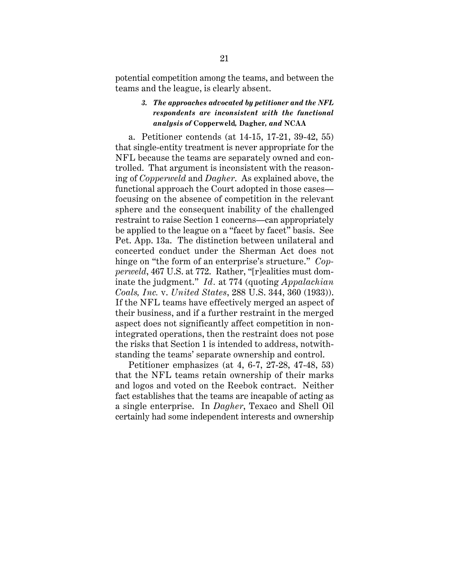potential competition among the teams, and between the teams and the league, is clearly absent.

## *3. The approaches advocated by petitioner and the NFL respondents are inconsistent with the functional analysis of* **Copperweld***,* **Dagher***, and* **NCAA**

a. Petitioner contends (at 14-15, 17-21, 39-42, 55) that single-entity treatment is never appropriate for the NFL because the teams are separately owned and controlled. That argument is inconsistent with the reasoning of *Copperweld* and *Dagher*. As explained above, the functional approach the Court adopted in those cases focusing on the absence of competition in the relevant sphere and the consequent inability of the challenged restraint to raise Section 1 concerns—can appropriately be applied to the league on a "facet by facet" basis. See Pet. App. 13a. The distinction between unilateral and concerted conduct under the Sherman Act does not hinge on "the form of an enterprise's structure." *Copperweld*, 467 U.S. at 772. Rather, "[r]ealities must dominate the judgment." *Id.* at 774 (quoting *Appalachian Coals, Inc.* v. *United States*, 288 U.S. 344, 360 (1933)). If the NFL teams have effectively merged an aspect of their business, and if a further restraint in the merged aspect does not significantly affect competition in nonintegrated operations, then the restraint does not pose the risks that Section 1 is intended to address, notwithstanding the teams' separate ownership and control.

Petitioner emphasizes (at 4, 6-7, 27-28, 47-48, 53) that the NFL teams retain ownership of their marks and logos and voted on the Reebok contract. Neither fact establishes that the teams are incapable of acting as a single enterprise. In *Dagher*, Texaco and Shell Oil certainly had some independent interests and ownership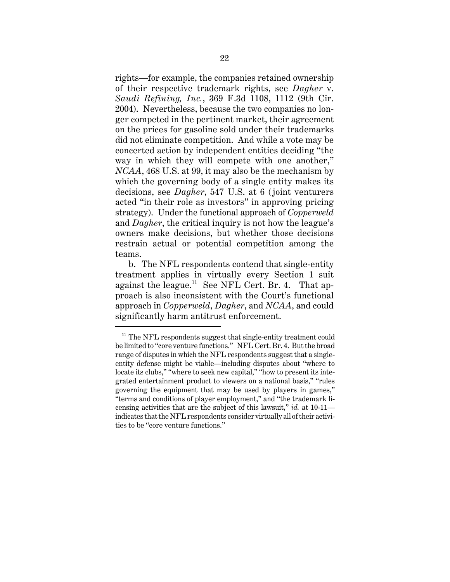rights—for example, the companies retained ownership of their respective trademark rights, see *Dagher* v. *Saudi Refining, Inc.*, 369 F.3d 1108, 1112 (9th Cir. 2004). Nevertheless, because the two companies no longer competed in the pertinent market, their agreement on the prices for gasoline sold under their trademarks did not eliminate competition. And while a vote may be concerted action by independent entities deciding "the way in which they will compete with one another," *NCAA*, 468 U.S. at 99, it may also be the mechanism by which the governing body of a single entity makes its decisions, see *Dagher*, 547 U.S. at 6 (joint venturers acted "in their role as investors" in approving pricing strategy). Under the functional approach of *Copperweld* and *Dagher*, the critical inquiry is not how the league's owners make decisions, but whether those decisions restrain actual or potential competition among the teams.

b. The NFL respondents contend that single-entity treatment applies in virtually every Section 1 suit against the league.<sup>11</sup> See NFL Cert. Br. 4. That approach is also inconsistent with the Court's functional approach in *Copperweld*, *Dagher*, and *NCAA*, and could significantly harm antitrust enforcement.

 $11$  The NFL respondents suggest that single-entity treatment could be limited to "core venture functions." NFL Cert. Br. 4. But the broad range of disputes in which the NFL respondents suggest that a singleentity defense might be viable—including disputes about "where to locate its clubs," "where to seek new capital," "how to present its integrated entertainment product to viewers on a national basis," "rules governing the equipment that may be used by players in games," "terms and conditions of player employment," and "the trademark licensing activities that are the subject of this lawsuit," *id.* at 10-11 indicates that the NFL respondents consider virtually all of their activities to be "core venture functions."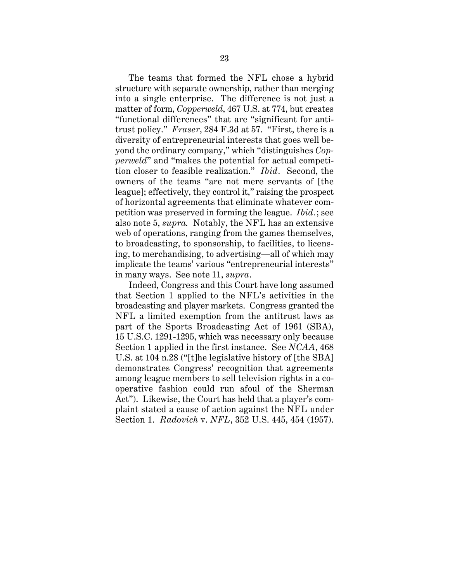The teams that formed the NFL chose a hybrid structure with separate ownership, rather than merging into a single enterprise. The difference is not just a matter of form, *Copperweld*, 467 U.S. at 774, but creates "functional differences" that are "significant for antitrust policy." *Fraser*, 284 F.3d at 57. "First, there is a diversity of entrepreneurial interests that goes well beyond the ordinary company," which "distinguishes *Copperweld*" and "makes the potential for actual competition closer to feasible realization." *Ibid.* Second, the owners of the teams "are not mere servants of [the league]; effectively, they control it," raising the prospect of horizontal agreements that eliminate whatever competition was preserved in forming the league. *Ibid.*; see also note 5, *supra.* Notably, the NFL has an extensive web of operations, ranging from the games themselves, to broadcasting, to sponsorship, to facilities, to licensing, to merchandising, to advertising—all of which may implicate the teams' various "entrepreneurial interests" in many ways. See note 11, *supra*.

Indeed, Congress and this Court have long assumed that Section 1 applied to the NFL's activities in the broadcasting and player markets. Congress granted the NFL a limited exemption from the antitrust laws as part of the Sports Broadcasting Act of 1961 (SBA), 15 U.S.C. 1291-1295, which was necessary only because Section 1 applied in the first instance. See *NCAA*, 468 U.S. at 104 n.28 ("[t]he legislative history of [the SBA] demonstrates Congress' recognition that agreements among league members to sell television rights in a cooperative fashion could run afoul of the Sherman Act"). Likewise, the Court has held that a player's complaint stated a cause of action against the NFL under Section 1. *Radovich* v. *NFL*, 352 U.S. 445, 454 (1957).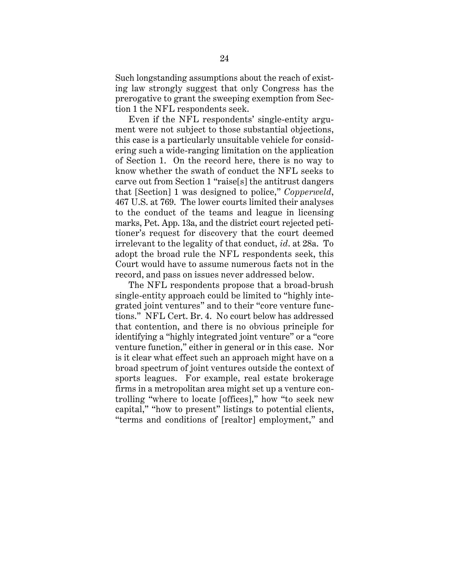Such longstanding assumptions about the reach of existing law strongly suggest that only Congress has the prerogative to grant the sweeping exemption from Section 1 the NFL respondents seek.

Even if the NFL respondents' single-entity argument were not subject to those substantial objections, this case is a particularly unsuitable vehicle for considering such a wide-ranging limitation on the application of Section 1. On the record here, there is no way to know whether the swath of conduct the NFL seeks to carve out from Section 1 "raise[s] the antitrust dangers that [Section] 1 was designed to police," *Copperweld*, 467 U.S. at 769. The lower courts limited their analyses to the conduct of the teams and league in licensing marks, Pet. App. 13a, and the district court rejected petitioner's request for discovery that the court deemed irrelevant to the legality of that conduct, *id*. at 28a. To adopt the broad rule the NFL respondents seek, this Court would have to assume numerous facts not in the record, and pass on issues never addressed below.

The NFL respondents propose that a broad-brush single-entity approach could be limited to "highly integrated joint ventures" and to their "core venture functions." NFL Cert. Br. 4. No court below has addressed that contention, and there is no obvious principle for identifying a "highly integrated joint venture" or a "core venture function," either in general or in this case. Nor is it clear what effect such an approach might have on a broad spectrum of joint ventures outside the context of sports leagues. For example, real estate brokerage firms in a metropolitan area might set up a venture controlling "where to locate [offices]," how "to seek new capital," "how to present" listings to potential clients, "terms and conditions of [realtor] employment," and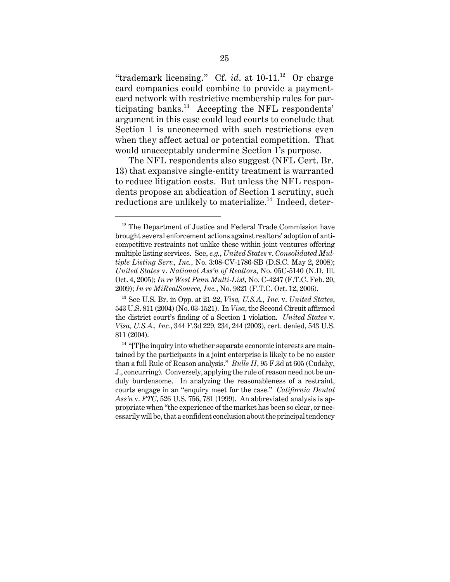"trademark licensing." Cf. *id.* at 10-11.<sup>12</sup> Or charge card companies could combine to provide a paymentcard network with restrictive membership rules for participating banks. $^{13}$  Accepting the NFL respondents' argument in this case could lead courts to conclude that Section 1 is unconcerned with such restrictions even when they affect actual or potential competition. That would unacceptably undermine Section 1's purpose.

The NFL respondents also suggest (NFL Cert. Br. 13) that expansive single-entity treatment is warranted to reduce litigation costs. But unless the NFL respondents propose an abdication of Section 1 scrutiny, such reductions are unlikely to materialize.<sup>14</sup> Indeed, deter-

<sup>&</sup>lt;sup>12</sup> The Department of Justice and Federal Trade Commission have brought several enforcement actions against realtors' adoption of anticompetitive restraints not unlike these within joint ventures offering multiple listing services. See, *e.g.*, *United States* v. *Consolidated Multiple Listing Serv., Inc.*, No. 3:08-CV-1786-SB (D.S.C. May 2, 2008); *United States* v. *National Ass'n of Realtors*, No. 05C-5140 (N.D. Ill. Oct. 4, 2005); *In re West Penn Multi-List*, No. C-4247 (F.T.C. Feb. 20, 2009); *In re MiRealSource, Inc.*, No. 9321 (F.T.C. Oct. 12, 2006).

<sup>13</sup> See U.S. Br. in Opp. at 21-22, *Visa, U.S.A., Inc.* v. *United States*, 543 U.S. 811 (2004) (No. 03-1521). In *Visa*, the Second Circuit affirmed the district court's finding of a Section 1 violation. *United States* v. *Visa, U.S.A., Inc.*, 344 F.3d 229, 234, 244 (2003), cert. denied, 543 U.S. 811 (2004).

 $14$  "[T]he inquiry into whether separate economic interests are maintained by the participants in a joint enterprise is likely to be no easier than a full Rule of Reason analysis." *Bulls II*, 95 F.3d at 605 (Cudahy, J., concurring). Conversely, applying the rule of reason need not be unduly burdensome. In analyzing the reasonableness of a restraint, courts engage in an "enquiry meet for the case." *California Dental Ass'n* v. *FTC*, 526 U.S. 756, 781 (1999). An abbreviated analysis is appropriate when "the experience of the market has been so clear, or necessarily will be, that a confident conclusion about the principal tendency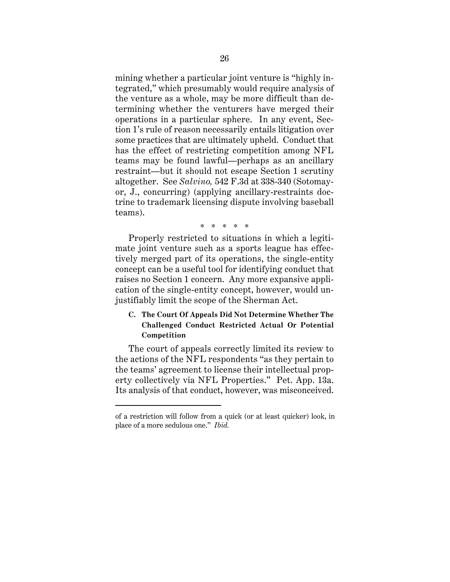mining whether a particular joint venture is "highly integrated," which presumably would require analysis of the venture as a whole, may be more difficult than determining whether the venturers have merged their operations in a particular sphere. In any event, Section 1's rule of reason necessarily entails litigation over some practices that are ultimately upheld. Conduct that has the effect of restricting competition among NFL teams may be found lawful—perhaps as an ancillary restraint—but it should not escape Section 1 scrutiny altogether. See *Salvino,* 542 F.3d at 338-340 (Sotomayor, J., concurring) (applying ancillary-restraints doctrine to trademark licensing dispute involving baseball teams).

\* \* \* \* \*

Properly restricted to situations in which a legitimate joint venture such as a sports league has effectively merged part of its operations, the single-entity concept can be a useful tool for identifying conduct that raises no Section 1 concern. Any more expansive application of the single-entity concept, however, would unjustifiably limit the scope of the Sherman Act.

# **C. The Court Of Appeals Did Not Determine Whether The Challenged Conduct Restricted Actual Or Potential Competition**

The court of appeals correctly limited its review to the actions of the NFL respondents "as they pertain to the teams' agreement to license their intellectual property collectively via NFL Properties." Pet. App. 13a. Its analysis of that conduct, however, was misconceived.

of a restriction will follow from a quick (or at least quicker) look, in place of a more sedulous one." *Ibid.*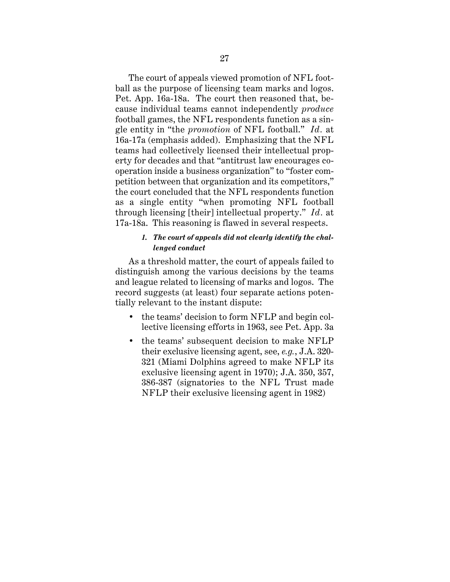The court of appeals viewed promotion of NFL football as the purpose of licensing team marks and logos. Pet. App. 16a-18a. The court then reasoned that, because individual teams cannot independently *produce* football games, the NFL respondents function as a single entity in "the *promotion* of NFL football." *Id.* at 16a-17a (emphasis added). Emphasizing that the NFL teams had collectively licensed their intellectual property for decades and that "antitrust law encourages cooperation inside a business organization" to "foster competition between that organization and its competitors," the court concluded that the NFL respondents function as a single entity "when promoting NFL football through licensing [their] intellectual property." *Id.* at 17a-18a. This reasoning is flawed in several respects.

## *1. The court of appeals did not clearly identify the challenged conduct*

As a threshold matter, the court of appeals failed to distinguish among the various decisions by the teams and league related to licensing of marks and logos. The record suggests (at least) four separate actions potentially relevant to the instant dispute:

- the teams' decision to form NFLP and begin collective licensing efforts in 1963, see Pet. App. 3a
- the teams' subsequent decision to make NFLP their exclusive licensing agent, see, *e.g.*, J.A. 320- 321 (Miami Dolphins agreed to make NFLP its exclusive licensing agent in 1970); J.A. 350, 357, 386-387 (signatories to the NFL Trust made NFLP their exclusive licensing agent in 1982)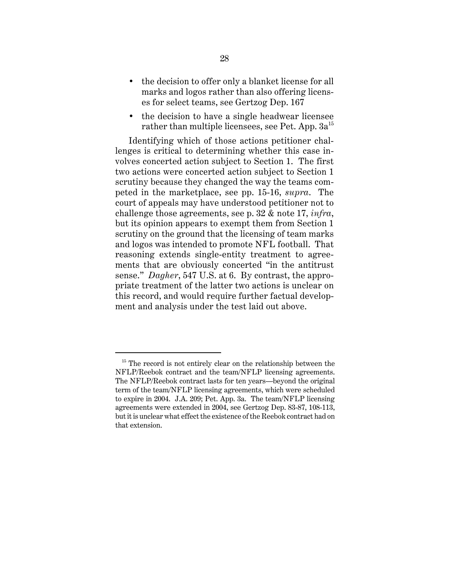- the decision to offer only a blanket license for all marks and logos rather than also offering licenses for select teams, see Gertzog Dep. 167
- the decision to have a single headwear licensee rather than multiple licensees, see Pet. App.  $3a^{15}$

Identifying which of those actions petitioner challenges is critical to determining whether this case involves concerted action subject to Section 1. The first two actions were concerted action subject to Section 1 scrutiny because they changed the way the teams competed in the marketplace, see pp. 15-16, *supra*. The court of appeals may have understood petitioner not to challenge those agreements, see p. 32 & note 17, *infra*, but its opinion appears to exempt them from Section 1 scrutiny on the ground that the licensing of team marks and logos was intended to promote NFL football. That reasoning extends single-entity treatment to agreements that are obviously concerted "in the antitrust sense." *Dagher*, 547 U.S. at 6. By contrast, the appropriate treatment of the latter two actions is unclear on this record, and would require further factual development and analysis under the test laid out above.

 $15$  The record is not entirely clear on the relationship between the NFLP/Reebok contract and the team/NFLP licensing agreements. The NFLP/Reebok contract lasts for ten years—beyond the original term of the team/NFLP licensing agreements, which were scheduled to expire in 2004. J.A. 209; Pet. App. 3a. The team/NFLP licensing agreements were extended in 2004, see Gertzog Dep. 83-87, 108-113, but it is unclear what effect the existence of the Reebok contract had on that extension.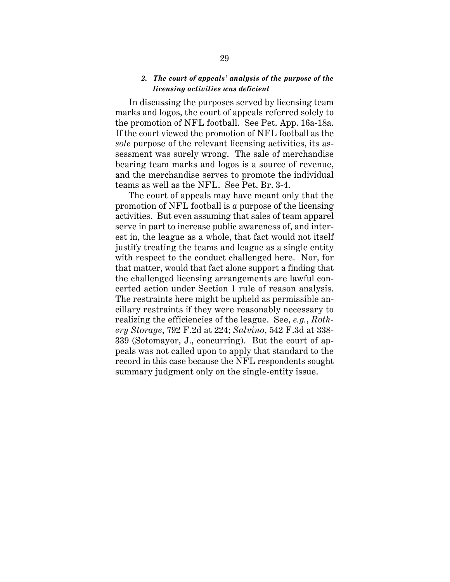## *2. The court of appeals' analysis of the purpose of the licensing activities was deficient*

In discussing the purposes served by licensing team marks and logos, the court of appeals referred solely to the promotion of NFL football. See Pet. App. 16a-18a. If the court viewed the promotion of NFL football as the *sole* purpose of the relevant licensing activities, its assessment was surely wrong. The sale of merchandise bearing team marks and logos is a source of revenue, and the merchandise serves to promote the individual teams as well as the NFL. See Pet. Br. 3-4.

The court of appeals may have meant only that the promotion of NFL football is *a* purpose of the licensing activities. But even assuming that sales of team apparel serve in part to increase public awareness of, and interest in, the league as a whole, that fact would not itself justify treating the teams and league as a single entity with respect to the conduct challenged here. Nor, for that matter, would that fact alone support a finding that the challenged licensing arrangements are lawful concerted action under Section 1 rule of reason analysis. The restraints here might be upheld as permissible ancillary restraints if they were reasonably necessary to realizing the efficiencies of the league. See, *e.g.*, *Rothery Storage*, 792 F.2d at 224; *Salvino*, 542 F.3d at 338- 339 (Sotomayor, J., concurring). But the court of appeals was not called upon to apply that standard to the record in this case because the NFL respondents sought summary judgment only on the single-entity issue.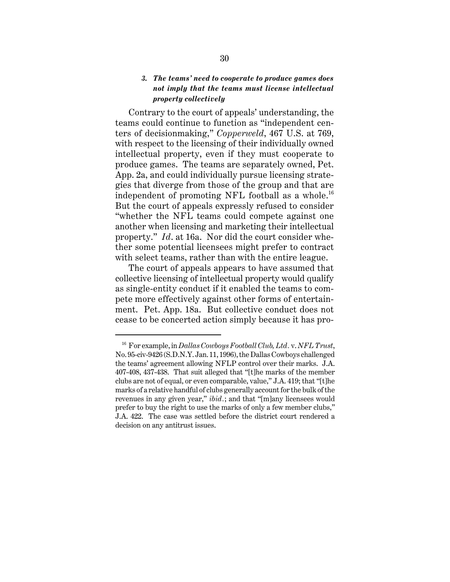# *3. The teams' need to cooperate to produce games does not imply that the teams must license intellectual property collectively*

Contrary to the court of appeals' understanding, the teams could continue to function as "independent centers of decisionmaking," *Copperweld*, 467 U.S. at 769, with respect to the licensing of their individually owned intellectual property, even if they must cooperate to produce games. The teams are separately owned, Pet. App. 2a, and could individually pursue licensing strategies that diverge from those of the group and that are independent of promoting NFL football as a whole.<sup>16</sup> But the court of appeals expressly refused to consider "whether the NFL teams could compete against one another when licensing and marketing their intellectual property." *Id*. at 16a. Nor did the court consider whether some potential licensees might prefer to contract with select teams, rather than with the entire league.

The court of appeals appears to have assumed that collective licensing of intellectual property would qualify as single-entity conduct if it enabled the teams to compete more effectively against other forms of entertainment. Pet. App. 18a. But collective conduct does not cease to be concerted action simply because it has pro-

<sup>16</sup> For example, in *Dallas Cowboys Football Club, Ltd.* v. *NFL Trust*, No. 95-civ-9426 (S.D.N.Y. Jan. 11, 1996), the Dallas Cowboys challenged the teams' agreement allowing NFLP control over their marks. J.A. 407-408, 437-438. That suit alleged that "[t]he marks of the member clubs are not of equal, or even comparable, value," J.A. 419; that "[t]he marks of a relative handful of clubs generally account for the bulk of the revenues in any given year," *ibid.*; and that "[m]any licensees would prefer to buy the right to use the marks of only a few member clubs," J.A. 422. The case was settled before the district court rendered a decision on any antitrust issues.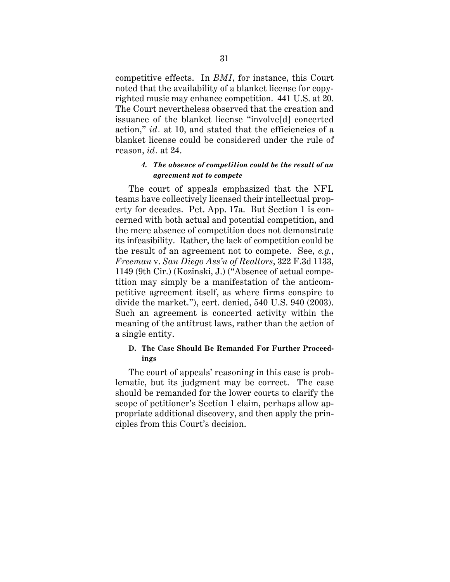competitive effects. In *BMI*, for instance, this Court noted that the availability of a blanket license for copyrighted music may enhance competition. 441 U.S. at 20. The Court nevertheless observed that the creation and issuance of the blanket license "involve[d] concerted action," *id.* at 10, and stated that the efficiencies of a blanket license could be considered under the rule of reason, *id.* at 24.

## *4. The absence of competition could be the result of an agreement not to compete*

The court of appeals emphasized that the NFL teams have collectively licensed their intellectual property for decades. Pet. App. 17a. But Section 1 is concerned with both actual and potential competition, and the mere absence of competition does not demonstrate its infeasibility. Rather, the lack of competition could be the result of an agreement not to compete. See, *e.g.*, *Freeman* v. *San Diego Ass'n of Realtors*, 322 F.3d 1133, 1149 (9th Cir.) (Kozinski, J.) ("Absence of actual competition may simply be a manifestation of the anticompetitive agreement itself, as where firms conspire to divide the market."), cert. denied, 540 U.S. 940 (2003). Such an agreement is concerted activity within the meaning of the antitrust laws, rather than the action of a single entity.

# **D. The Case Should Be Remanded For Further Proceedings**

The court of appeals' reasoning in this case is problematic, but its judgment may be correct. The case should be remanded for the lower courts to clarify the scope of petitioner's Section 1 claim, perhaps allow appropriate additional discovery, and then apply the principles from this Court's decision.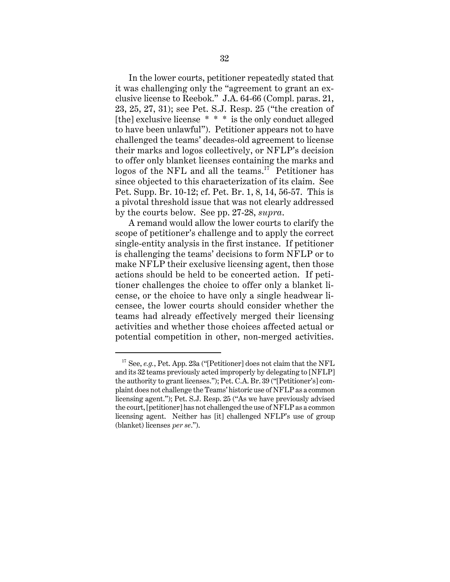In the lower courts, petitioner repeatedly stated that it was challenging only the "agreement to grant an exclusive license to Reebok." J.A. 64-66 (Compl. paras. 21, 23, 25, 27, 31); see Pet. S.J. Resp. 25 ("the creation of [the] exclusive license \* \* \* is the only conduct alleged to have been unlawful"). Petitioner appears not to have challenged the teams' decades-old agreement to license their marks and logos collectively, or NFLP's decision to offer only blanket licenses containing the marks and logos of the NFL and all the teams.<sup>17</sup> Petitioner has since objected to this characterization of its claim. See Pet. Supp. Br. 10-12; cf. Pet. Br. 1, 8, 14, 56-57. This is a pivotal threshold issue that was not clearly addressed by the courts below. See pp. 27-28, *supra*.

A remand would allow the lower courts to clarify the scope of petitioner's challenge and to apply the correct single-entity analysis in the first instance. If petitioner is challenging the teams' decisions to form NFLP or to make NFLP their exclusive licensing agent, then those actions should be held to be concerted action. If petitioner challenges the choice to offer only a blanket license, or the choice to have only a single headwear licensee, the lower courts should consider whether the teams had already effectively merged their licensing activities and whether those choices affected actual or potential competition in other, non-merged activities.

<sup>&</sup>lt;sup>17</sup> See, *e.g.*, Pet. App. 23a ("[Petitioner] does not claim that the NFL and its 32 teams previously acted improperly by delegating to [NFLP] the authority to grant licenses."); Pet. C.A. Br. 39 ("[Petitioner's] complaint does not challenge the Teams' historic use of NFLP as a common licensing agent."); Pet. S.J. Resp. 25 ("As we have previously advised the court, [petitioner] has not challenged the use of NFLP as a common licensing agent. Neither has [it] challenged NFLP's use of group (blanket) licenses *per se*.").